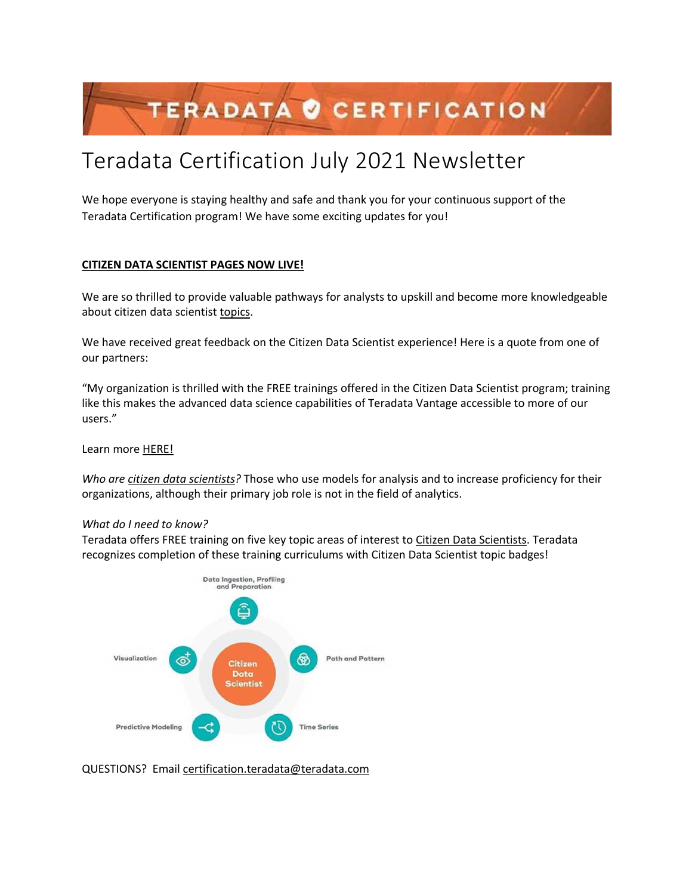# TERADATA O CERTIFICATION

# Teradata Certification July 2021 Newsletter

We hope everyone is staying healthy and safe and thank you for your continuous support of the Teradata Certification program! We have some exciting updates for you!

# **CITIZEN DATA SCIENTIST PAGES NOW LIVE!**

We are so thrilled to provide valuable pathways for analysts to upskill and become more knowledgeable about citizen data scientist topics.

We have received great feedback on the Citizen Data Scientist experience! Here is a quote from one of our partners:

"My organization is thrilled with the FREE trainings offered in the Citizen Data Scientist program; training like this makes the advanced data science capabilities of Teradata Vantage accessible to more of our users."

Learn more HERE!

*Who are citizen data scientists?* Those who use models for analysis and to increase proficiency for their organizations, although their primary job role is not in the field of analytics.

## *What do I need to know?*

Teradata offers FREE training on five key topic areas of interest to Citizen Data Scientists. Teradata recognizes completion of these training curriculums with Citizen Data Scientist topic badges!



QUESTIONS? Email certification.teradata@teradata.com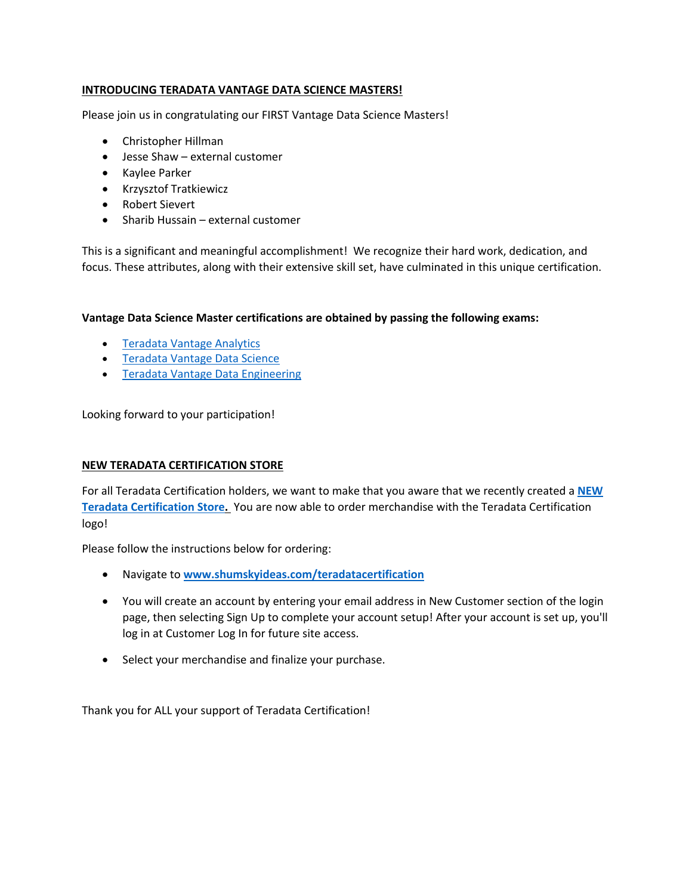# **INTRODUCING TERADATA VANTAGE DATA SCIENCE MASTERS!**

Please join us in congratulating our FIRST Vantage Data Science Masters!

- Christopher Hillman
- Jesse Shaw external customer
- Kaylee Parker
- Krzysztof Tratkiewicz
- Robert Sievert
- Sharib Hussain external customer

This is a significant and meaningful accomplishment! We recognize their hard work, dedication, and focus. These attributes, along with their extensive skill set, have culminated in this unique certification.

**Vantage Data Science Master certifications are obtained by passing the following exams:**

- Teradata Vantage Analytics
- Teradata Vantage Data Science
- Teradata Vantage Data Engineering

Looking forward to your participation!

## **NEW TERADATA CERTIFICATION STORE**

For all Teradata Certification holders, we want to make that you aware that we recently created a **NEW Teradata Certification Store.** You are now able to order merchandise with the Teradata Certification logo!

Please follow the instructions below for ordering:

- Navigate to **www.shumskyideas.com/teradatacertification**
- You will create an account by entering your email address in New Customer section of the login page, then selecting Sign Up to complete your account setup! After your account is set up, you'll log in at Customer Log In for future site access.
- Select your merchandise and finalize your purchase.

Thank you for ALL your support of Teradata Certification!